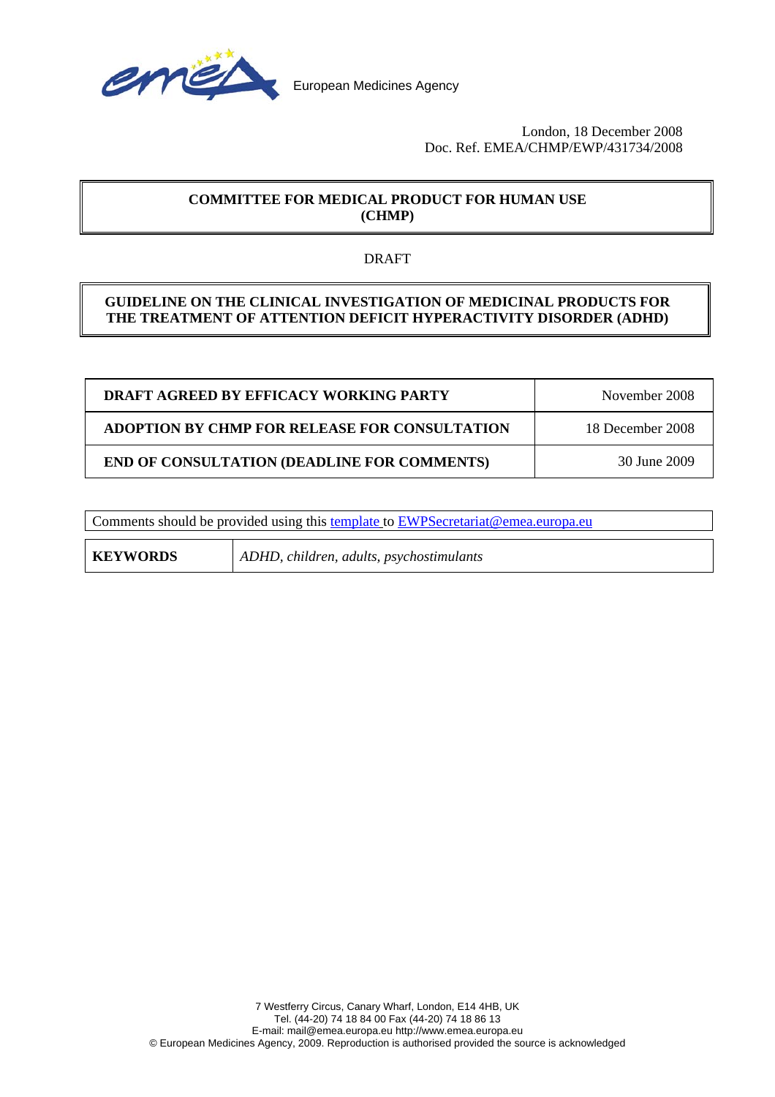

#### London, 18 December 2008 Doc. Ref. EMEA/CHMP/EWP/431734/2008

# **COMMITTEE FOR MEDICAL PRODUCT FOR HUMAN USE (CHMP)**

## DRAFT

## **GUIDELINE ON THE CLINICAL INVESTIGATION OF MEDICINAL PRODUCTS FOR THE TREATMENT OF ATTENTION DEFICIT HYPERACTIVITY DISORDER (ADHD)**

| DRAFT AGREED BY EFFICACY WORKING PARTY               | November 2008    |
|------------------------------------------------------|------------------|
| <b>ADOPTION BY CHMP FOR RELEASE FOR CONSULTATION</b> | 18 December 2008 |
| <b>END OF CONSULTATION (DEADLINE FOR COMMENTS)</b>   | 30 June 2009     |

Comments should be provided using this [template](http://www.emea.europa.eu/pdfs/human/regaffair/submitcomment.doc) to [EWPSecretariat@emea.europa.eu](mailto:EWPSecretariat@emea.europa.eu) 

**KEYWORDS** *ADHD, children, adults, psychostimulants*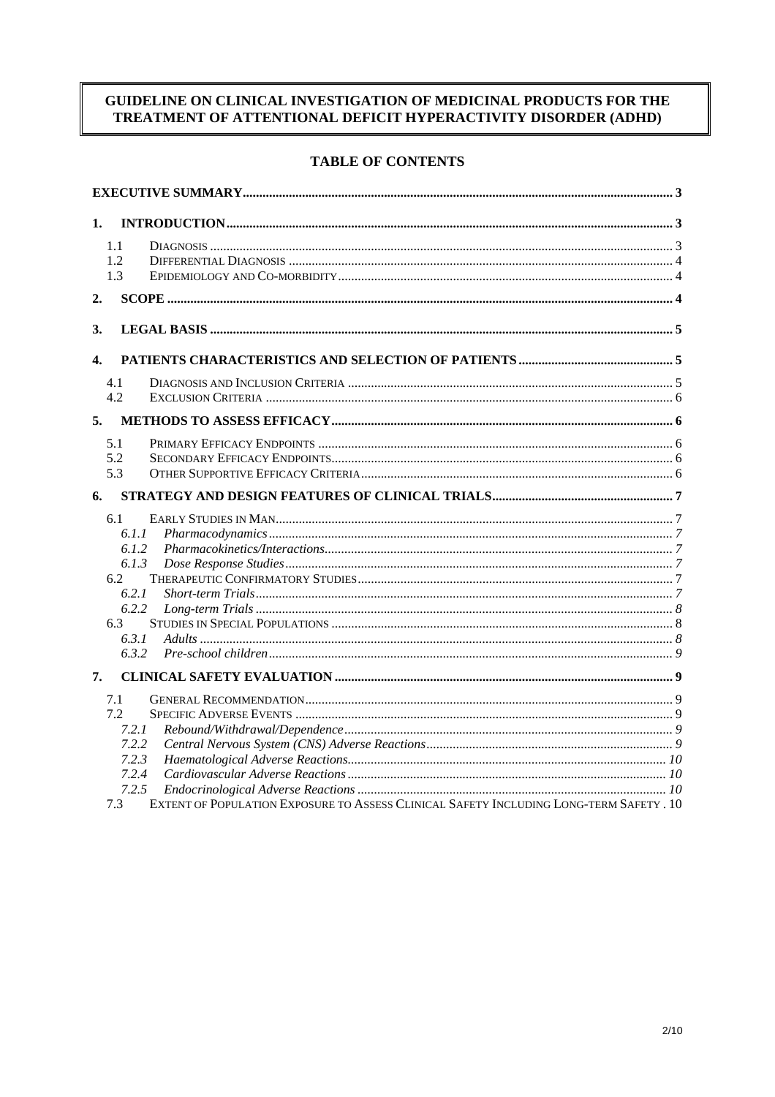# GUIDELINE ON CLINICAL INVESTIGATION OF MEDICINAL PRODUCTS FOR THE TREATMENT OF ATTENTIONAL DEFICIT HYPERACTIVITY DISORDER (ADHD)

# **TABLE OF CONTENTS**

| 1.                                                                                             |  |
|------------------------------------------------------------------------------------------------|--|
| 1.1                                                                                            |  |
| 1.2                                                                                            |  |
| 1.3                                                                                            |  |
| 2.                                                                                             |  |
|                                                                                                |  |
| 3.                                                                                             |  |
| $\mathbf{4}$                                                                                   |  |
| 4.1                                                                                            |  |
| 4.2                                                                                            |  |
| 5.                                                                                             |  |
| 5.1                                                                                            |  |
| 5.2                                                                                            |  |
| 5.3                                                                                            |  |
| 6.                                                                                             |  |
| 6.1                                                                                            |  |
| 6.1.1                                                                                          |  |
| 6.1.2                                                                                          |  |
| 6.1.3                                                                                          |  |
| 6.2                                                                                            |  |
| 6.2.1                                                                                          |  |
| 6.2.2                                                                                          |  |
| 6.3                                                                                            |  |
| 6.3.1                                                                                          |  |
| 6.3.2                                                                                          |  |
| 7.                                                                                             |  |
| 7.1                                                                                            |  |
| 7.2                                                                                            |  |
| 7.2.1                                                                                          |  |
| 7.2.2                                                                                          |  |
| 7.2.3                                                                                          |  |
| 7.2.4                                                                                          |  |
| 7.2.5                                                                                          |  |
| EXTENT OF POPULATION EXPOSURE TO ASSESS CLINICAL SAFETY INCLUDING LONG-TERM SAFETY . 10<br>7.3 |  |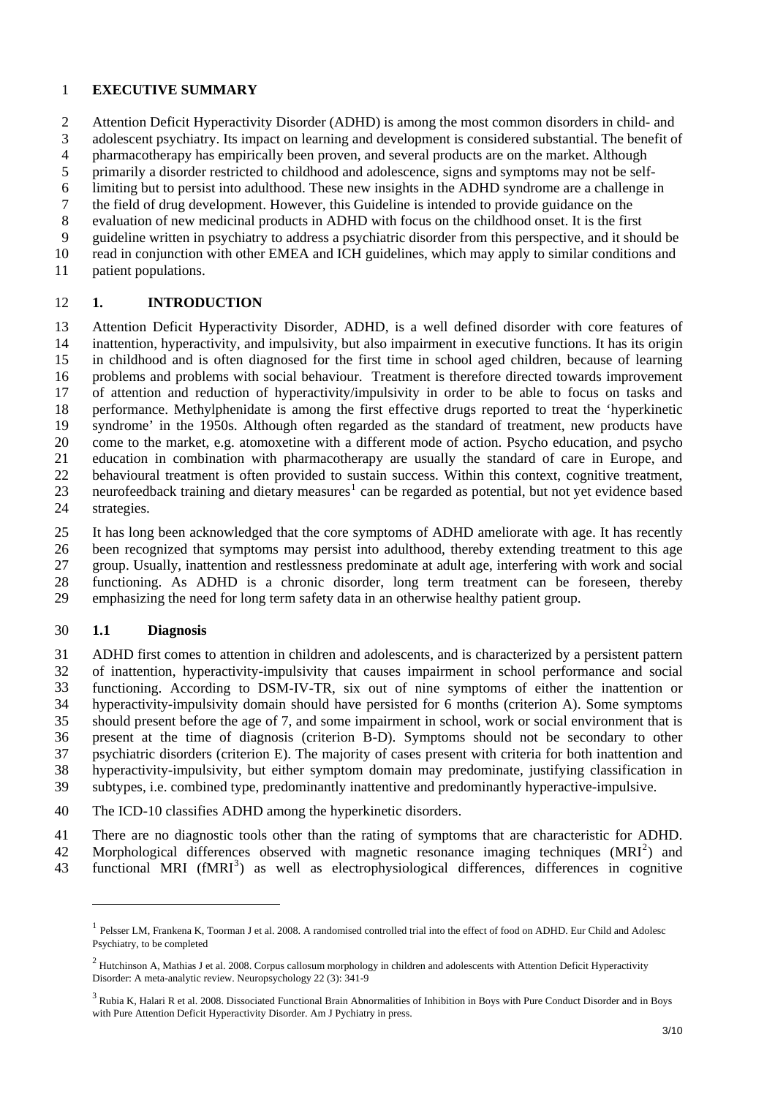#### <span id="page-2-0"></span>1 **EXECUTIVE SUMMARY**

2 3 4 5 6 7 8 Attention Deficit Hyperactivity Disorder (ADHD) is among the most common disorders in child- and adolescent psychiatry. Its impact on learning and development is considered substantial. The benefit of pharmacotherapy has empirically been proven, and several products are on the market. Although primarily a disorder restricted to childhood and adolescence, signs and symptoms may not be selflimiting but to persist into adulthood. These new insights in the ADHD syndrome are a challenge in the field of drug development. However, this Guideline is intended to provide guidance on the evaluation of new medicinal products in ADHD with focus on the childhood onset. It is the first

9 guideline written in psychiatry to address a psychiatric disorder from this perspective, and it should be

- 10 read in conjunction with other EMEA and ICH guidelines, which may apply to similar conditions and
- 11 patient populations.

#### 12 **1. INTRODUCTION**

13 14 15 16 17 18 19 20 21 22 23 24 Attention Deficit Hyperactivity Disorder, ADHD, is a well defined disorder with core features of inattention, hyperactivity, and impulsivity, but also impairment in executive functions. It has its origin in childhood and is often diagnosed for the first time in school aged children, because of learning problems and problems with social behaviour. Treatment is therefore directed towards improvement of attention and reduction of hyperactivity/impulsivity in order to be able to focus on tasks and performance. Methylphenidate is among the first effective drugs reported to treat the 'hyperkinetic syndrome' in the 1950s. Although often regarded as the standard of treatment, new products have come to the market, e.g. atomoxetine with a different mode of action. Psycho education, and psycho education in combination with pharmacotherapy are usually the standard of care in Europe, and behavioural treatment is often provided to sustain success. Within this context, cognitive treatment, neurofeedback training and dietary measures<sup>[1](#page-2-1)</sup> can be regarded as potential, but not yet evidence based strategies.

25 26 27 28 29 It has long been acknowledged that the core symptoms of ADHD ameliorate with age. It has recently been recognized that symptoms may persist into adulthood, thereby extending treatment to this age group. Usually, inattention and restlessness predominate at adult age, interfering with work and social functioning. As ADHD is a chronic disorder, long term treatment can be foreseen, thereby emphasizing the need for long term safety data in an otherwise healthy patient group.

### 30 **1.1 Diagnosis**

 $\overline{\phantom{a}}$ 

31 32 33 34 35 36 37 38 39 ADHD first comes to attention in children and adolescents, and is characterized by a persistent pattern of inattention, hyperactivity-impulsivity that causes impairment in school performance and social functioning. According to DSM-IV-TR, six out of nine symptoms of either the inattention or hyperactivity-impulsivity domain should have persisted for 6 months (criterion A). Some symptoms should present before the age of 7, and some impairment in school, work or social environment that is present at the time of diagnosis (criterion B-D). Symptoms should not be secondary to other psychiatric disorders (criterion E). The majority of cases present with criteria for both inattention and hyperactivity-impulsivity, but either symptom domain may predominate, justifying classification in subtypes, i.e. combined type, predominantly inattentive and predominantly hyperactive-impulsive.

40 The ICD-10 classifies ADHD among the hyperkinetic disorders.

41 There are no diagnostic tools other than the rating of symptoms that are characteristic for ADHD.

- 42 Morphological differences observed with magnetic resonance imaging techniques  $(MRI<sup>2</sup>)$  $(MRI<sup>2</sup>)$  $(MRI<sup>2</sup>)$  and
- <span id="page-2-1"></span>43 functional MRI (fMRI<sup>[3](#page-2-3)</sup>) as well as electrophysiological differences, differences in cognitive

<sup>&</sup>lt;sup>1</sup> Pelsser LM, Frankena K, Toorman J et al. 2008. A randomised controlled trial into the effect of food on ADHD. Eur Child and Adolesc Psychiatry, to be completed

<span id="page-2-2"></span><sup>&</sup>lt;sup>2</sup> Hutchinson A, Mathias J et al. 2008. Corpus callosum morphology in children and adolescents with Attention Deficit Hyperactivity Disorder: A meta-analytic review. Neuropsychology 22 (3): 341-9

<span id="page-2-3"></span> $^3$  Rubia K, Halari R et al. 2008. Dissociated Functional Brain Abnormalities of Inhibition in Boys with Pure Conduct Disorder and in Boys with Pure Attention Deficit Hyperactivity Disorder. Am J Pychiatry in press.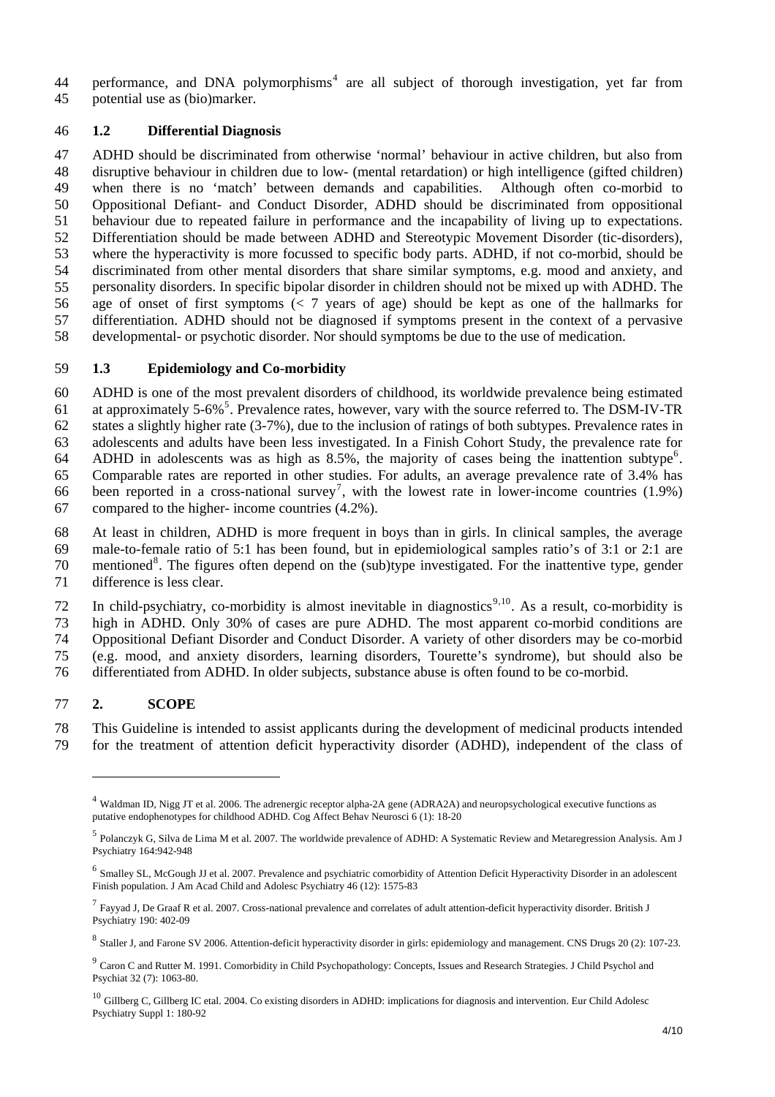<span id="page-3-0"></span>performance, and DNA polymorphisms<sup>[4](#page-3-1)</sup> are all subject of thorough investigation, yet far from potential use as (bio)marker. 44 45

### 46 **1.2 Differential Diagnosis**

47 48 49 50 51 52 53 54 55 56 57 58 ADHD should be discriminated from otherwise 'normal' behaviour in active children, but also from disruptive behaviour in children due to low- (mental retardation) or high intelligence (gifted children) when there is no 'match' between demands and capabilities. Although often co-morbid to Oppositional Defiant- and Conduct Disorder, ADHD should be discriminated from oppositional behaviour due to repeated failure in performance and the incapability of living up to expectations. Differentiation should be made between ADHD and Stereotypic Movement Disorder (tic-disorders), where the hyperactivity is more focussed to specific body parts. ADHD, if not co-morbid, should be discriminated from other mental disorders that share similar symptoms, e.g. mood and anxiety, and personality disorders. In specific bipolar disorder in children should not be mixed up with ADHD. The age of onset of first symptoms (< 7 years of age) should be kept as one of the hallmarks for differentiation. ADHD should not be diagnosed if symptoms present in the context of a pervasive developmental- or psychotic disorder. Nor should symptoms be due to the use of medication.

#### 59 **1.3 Epidemiology and Co-morbidity**

60 61 62 63 64 65 66 67 ADHD is one of the most prevalent disorders of childhood, its worldwide prevalence being estimated at approximately [5](#page-3-2)-6%<sup>5</sup>. Prevalence rates, however, vary with the source referred to. The DSM-IV-TR states a slightly higher rate (3-7%), due to the inclusion of ratings of both subtypes. Prevalence rates in adolescents and adults have been less investigated. In a Finish Cohort Study, the prevalence rate for ADHD in adolescents was as high as  $8.5\%$ , the majority of cases being the inattention subtype<sup>[6](#page-3-3)</sup>. Comparable rates are reported in other studies. For adults, an average prevalence rate of 3.4% has been reported in a cross-national survey<sup>[7](#page-3-4)</sup>, with the lowest rate in lower-income countries  $(1.9%)$ compared to the higher- income countries (4.2%).

68 69 70 71 At least in children, ADHD is more frequent in boys than in girls. In clinical samples, the average male-to-female ratio of 5:1 has been found, but in epidemiological samples ratio's of 3:1 or 2:1 are mentioned<sup>[8](#page-3-5)</sup>. The figures often depend on the (sub)type investigated. For the inattentive type, gender difference is less clear.

72 73 74 75 76 In child-psychiatry, co-morbidity is almost inevitable in diagnostics<sup>[9](#page-3-6),[10](#page-3-7)</sup>. As a result, co-morbidity is high in ADHD. Only 30% of cases are pure ADHD. The most apparent co-morbid conditions are Oppositional Defiant Disorder and Conduct Disorder. A variety of other disorders may be co-morbid (e.g. mood, and anxiety disorders, learning disorders, Tourette's syndrome), but should also be differentiated from ADHD. In older subjects, substance abuse is often found to be co-morbid.

# 77 **2. SCOPE**

l

78 79 This Guideline is intended to assist applicants during the development of medicinal products intended for the treatment of attention deficit hyperactivity disorder (ADHD), independent of the class of

<span id="page-3-1"></span><sup>4</sup> Waldman ID, Nigg JT et al. 2006. The adrenergic receptor alpha-2A gene (ADRA2A) and neuropsychological executive functions as putative endophenotypes for childhood ADHD. Cog Affect Behav Neurosci 6 (1): 18-20

<span id="page-3-2"></span><sup>5</sup> Polanczyk G, Silva de Lima M et al. 2007. The worldwide prevalence of ADHD: A Systematic Review and Metaregression Analysis. Am J Psychiatry 164:942-948

<span id="page-3-3"></span><sup>6</sup> Smalley SL, McGough JJ et al. 2007. Prevalence and psychiatric comorbidity of Attention Deficit Hyperactivity Disorder in an adolescent Finish population. J Am Acad Child and Adolesc Psychiatry 46 (12): 1575-83

<span id="page-3-4"></span> $^7$  Favvad J. De Graaf R et al. 2007. Cross-national prevalence and correlates of adult attention-deficit hyperactivity disorder. British J Psychiatry 190: 402-09

<span id="page-3-5"></span><sup>8</sup> Staller J, and Farone SV 2006. Attention-deficit hyperactivity disorder in girls: epidemiology and management. CNS Drugs 20 (2): 107-23.

<span id="page-3-6"></span><sup>&</sup>lt;sup>9</sup> Caron C and Rutter M. 1991. Comorbidity in Child Psychopathology: Concepts, Issues and Research Strategies. J Child Psychol and Psychiat 32 (7): 1063-80.

<span id="page-3-7"></span> $10$  Gillberg C, Gillberg IC etal. 2004. Co existing disorders in ADHD: implications for diagnosis and intervention. Eur Child Adolesc Psychiatry Suppl 1: 180-92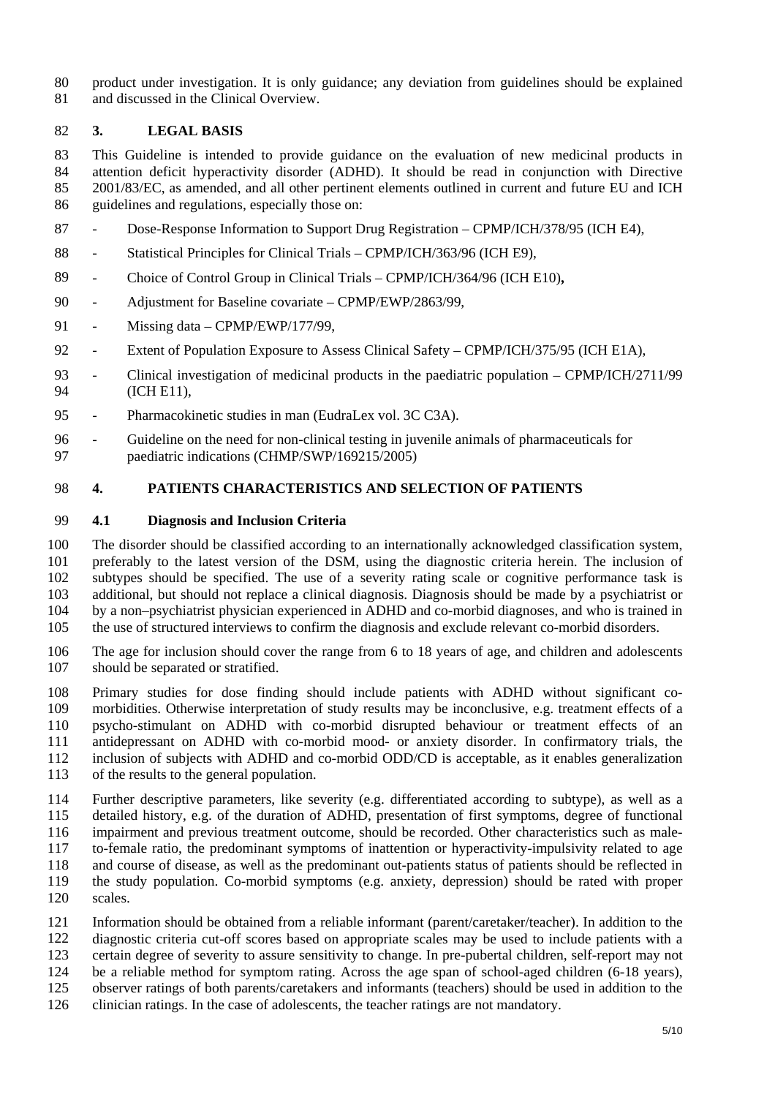<span id="page-4-0"></span>80 81 product under investigation. It is only guidance; any deviation from guidelines should be explained and discussed in the Clinical Overview.

### 82 **3. LEGAL BASIS**

83 84 85 86 This Guideline is intended to provide guidance on the evaluation of new medicinal products in attention deficit hyperactivity disorder (ADHD). It should be read in conjunction with Directive 2001/83/EC, as amended, and all other pertinent elements outlined in current and future EU and ICH guidelines and regulations, especially those on:

- 87 - Dose-Response Information to Support Drug Registration – CPMP/ICH/378/95 (ICH E4),
- 88 - Statistical Principles for Clinical Trials – CPMP/ICH/363/96 (ICH E9),
- 89 - Choice of Control Group in Clinical Trials – CPMP/ICH/364/96 (ICH E10)**,**
- 90 - Adjustment for Baseline covariate – CPMP/EWP/2863/99,
- 91 - Missing data – CPMP/EWP/177/99,
- 92 - Extent of Population Exposure to Assess Clinical Safety – CPMP/ICH/375/95 (ICH E1A),
- 93 94 - Clinical investigation of medicinal products in the paediatric population – CPMP/ICH/2711/99 (ICH E11),
- 95 - Pharmacokinetic studies in man (EudraLex vol. 3C C3A).
- 96 97 - Guideline on the need for non-clinical testing in juvenile animals of pharmaceuticals for paediatric indications (CHMP/SWP/169215/2005)

### 98 **4. PATIENTS CHARACTERISTICS AND SELECTION OF PATIENTS**

#### 99 **4.1 Diagnosis and Inclusion Criteria**

100 101 102 103 104 105 The disorder should be classified according to an internationally acknowledged classification system, preferably to the latest version of the DSM, using the diagnostic criteria herein. The inclusion of subtypes should be specified. The use of a severity rating scale or cognitive performance task is additional, but should not replace a clinical diagnosis. Diagnosis should be made by a psychiatrist or by a non–psychiatrist physician experienced in ADHD and co-morbid diagnoses, and who is trained in the use of structured interviews to confirm the diagnosis and exclude relevant co-morbid disorders.

106 107 The age for inclusion should cover the range from 6 to 18 years of age, and children and adolescents should be separated or stratified.

108 109 110 111 112 113 Primary studies for dose finding should include patients with ADHD without significant comorbidities. Otherwise interpretation of study results may be inconclusive, e.g. treatment effects of a psycho-stimulant on ADHD with co-morbid disrupted behaviour or treatment effects of an antidepressant on ADHD with co-morbid mood- or anxiety disorder. In confirmatory trials, the inclusion of subjects with ADHD and co-morbid ODD/CD is acceptable, as it enables generalization of the results to the general population.

- 114 115 Further descriptive parameters, like severity (e.g. differentiated according to subtype), as well as a detailed history, e.g. of the duration of ADHD, presentation of first symptoms, degree of functional
- 116 impairment and previous treatment outcome, should be recorded. Other characteristics such as male-

117 to-female ratio, the predominant symptoms of inattention or hyperactivity-impulsivity related to age

- 118 119 and course of disease, as well as the predominant out-patients status of patients should be reflected in the study population. Co-morbid symptoms (e.g. anxiety, depression) should be rated with proper
- 120 scales.
- 121 Information should be obtained from a reliable informant (parent/caretaker/teacher). In addition to the
- 122 diagnostic criteria cut-off scores based on appropriate scales may be used to include patients with a
- 123 certain degree of severity to assure sensitivity to change. In pre-pubertal children, self-report may not
- 124 125 be a reliable method for symptom rating. Across the age span of school-aged children (6-18 years), observer ratings of both parents/caretakers and informants (teachers) should be used in addition to the
- 126 clinician ratings. In the case of adolescents, the teacher ratings are not mandatory.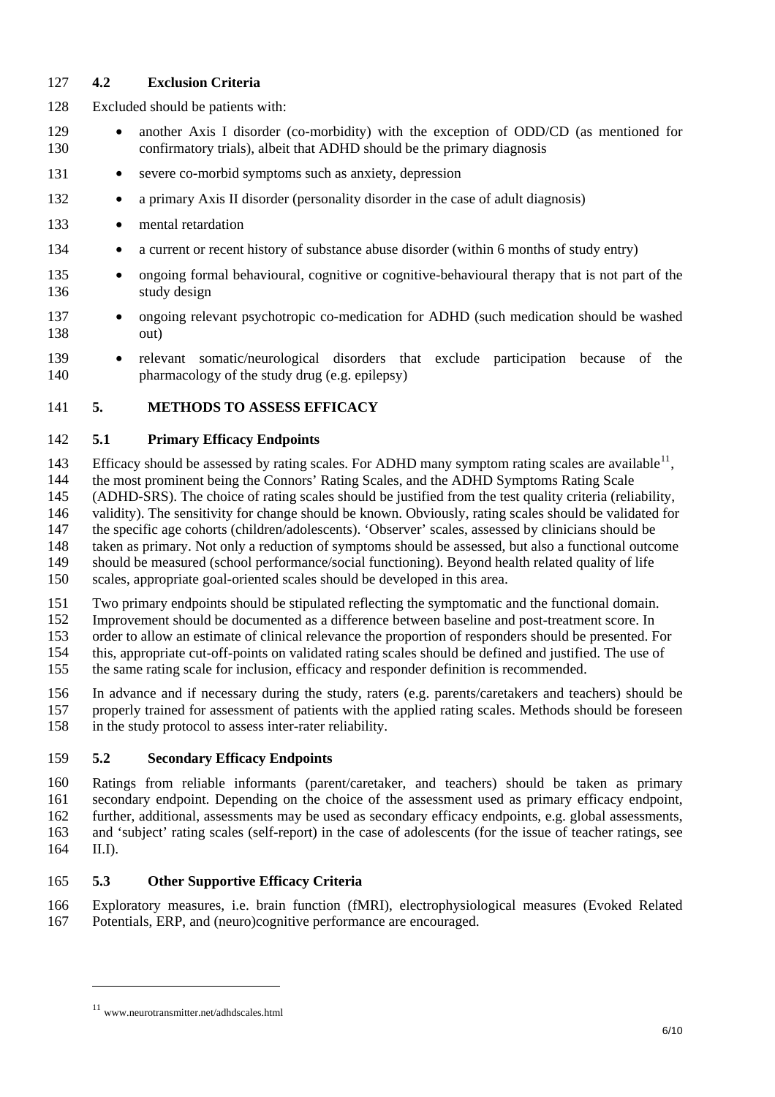# <span id="page-5-0"></span>127 **4.2 Exclusion Criteria**

- 128 Excluded should be patients with:
- 129 130 • another Axis I disorder (co-morbidity) with the exception of ODD/CD (as mentioned for confirmatory trials), albeit that ADHD should be the primary diagnosis
- 131 • severe co-morbid symptoms such as anxiety, depression
- 132 • a primary Axis II disorder (personality disorder in the case of adult diagnosis)
- 133 • mental retardation
- 134 • a current or recent history of substance abuse disorder (within 6 months of study entry)
- 135 136 • ongoing formal behavioural, cognitive or cognitive-behavioural therapy that is not part of the study design
- 137 138 • ongoing relevant psychotropic co-medication for ADHD (such medication should be washed out)
- 139 140 • relevant somatic/neurological disorders that exclude participation because of the pharmacology of the study drug (e.g. epilepsy)

# 141 **5. METHODS TO ASSESS EFFICACY**

### 142 **5.1 Primary Efficacy Endpoints**

143 Efficacy should be assessed by rating scales. For ADHD many symptom rating scales are available<sup>[11](#page-5-1)</sup>,

144 the most prominent being the Connors' Rating Scales, and the ADHD Symptoms Rating Scale

145 (ADHD-SRS). The choice of rating scales should be justified from the test quality criteria (reliability,

146 validity). The sensitivity for change should be known. Obviously, rating scales should be validated for

147 148 the specific age cohorts (children/adolescents). 'Observer' scales, assessed by clinicians should be taken as primary. Not only a reduction of symptoms should be assessed, but also a functional outcome

149 should be measured (school performance/social functioning). Beyond health related quality of life

150 scales, appropriate goal-oriented scales should be developed in this area.

151 Two primary endpoints should be stipulated reflecting the symptomatic and the functional domain.

152 Improvement should be documented as a difference between baseline and post-treatment score. In

153 order to allow an estimate of clinical relevance the proportion of responders should be presented. For

154 this, appropriate cut-off-points on validated rating scales should be defined and justified. The use of

155 the same rating scale for inclusion, efficacy and responder definition is recommended.

156 157 In advance and if necessary during the study, raters (e.g. parents/caretakers and teachers) should be properly trained for assessment of patients with the applied rating scales. Methods should be foreseen

158 in the study protocol to assess inter-rater reliability.

# 159 **5.2 Secondary Efficacy Endpoints**

160 161 162 163 164 Ratings from reliable informants (parent/caretaker, and teachers) should be taken as primary secondary endpoint. Depending on the choice of the assessment used as primary efficacy endpoint, further, additional, assessments may be used as secondary efficacy endpoints, e.g. global assessments, and 'subject' rating scales (self-report) in the case of adolescents (for the issue of teacher ratings, see  $II.D.$ 

# 165 **5.3 Other Supportive Efficacy Criteria**

166 167 Exploratory measures, i.e. brain function (fMRI), electrophysiological measures (Evoked Related Potentials, ERP, and (neuro)cognitive performance are encouraged.

 $\overline{\phantom{a}}$ 

<span id="page-5-1"></span><sup>11</sup> www.neurotransmitter.net/adhdscales.html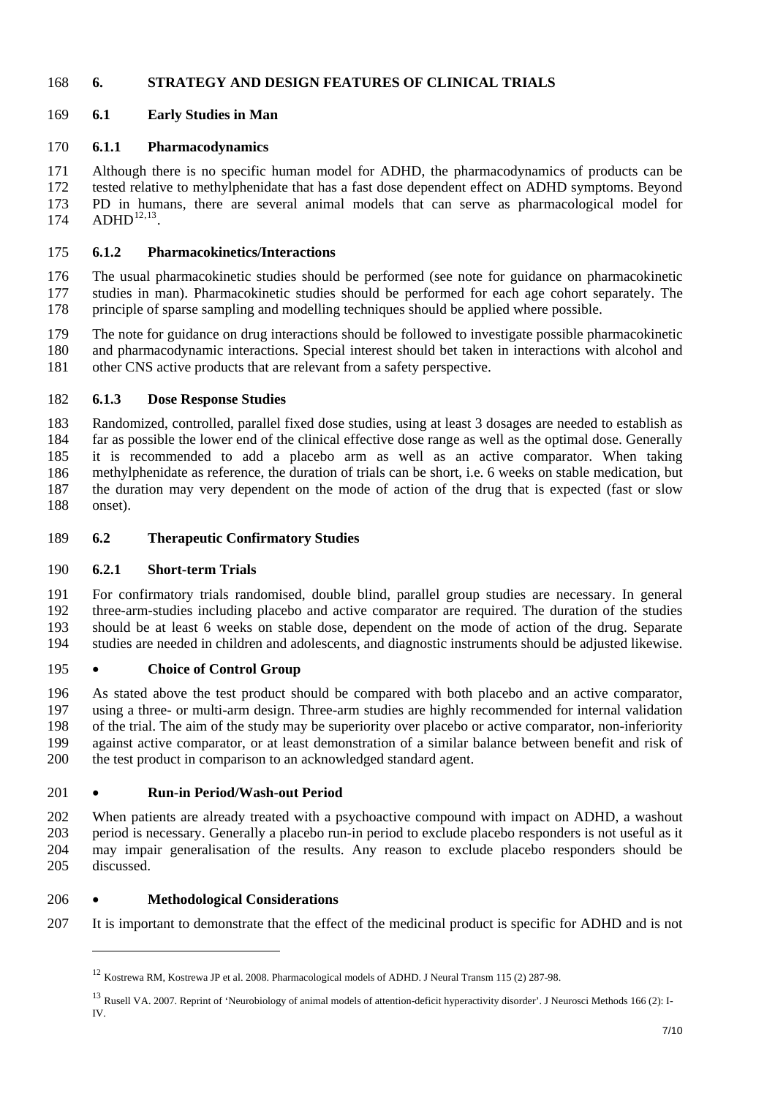## <span id="page-6-0"></span>168 **6. STRATEGY AND DESIGN FEATURES OF CLINICAL TRIALS**

# 169 **6.1 Early Studies in Man**

## 170 **6.1.1 Pharmacodynamics**

Although there is no specific human model for ADHD, the pharmacodynamics of products can be tested relative to methylphenidate that has a fast dose dependent effect on ADHD symptoms. Beyond PD in humans, there are several animal models that can serve as pharmacological model for  $ADHD^{12,13}$  $ADHD^{12,13}$  $ADHD^{12,13}$  $ADHD^{12,13}$  $ADHD^{12,13}$ . 171 172 173 174

### 175 **6.1.2 Pharmacokinetics/Interactions**

176 177 178 The usual pharmacokinetic studies should be performed (see note for guidance on pharmacokinetic studies in man). Pharmacokinetic studies should be performed for each age cohort separately. The principle of sparse sampling and modelling techniques should be applied where possible.

179 180 181 The note for guidance on drug interactions should be followed to investigate possible pharmacokinetic and pharmacodynamic interactions. Special interest should bet taken in interactions with alcohol and other CNS active products that are relevant from a safety perspective.

### 182 **6.1.3 Dose Response Studies**

183 184 185 186 187 188 Randomized, controlled, parallel fixed dose studies, using at least 3 dosages are needed to establish as far as possible the lower end of the clinical effective dose range as well as the optimal dose. Generally it is recommended to add a placebo arm as well as an active comparator. When taking methylphenidate as reference, the duration of trials can be short, i.e. 6 weeks on stable medication, but the duration may very dependent on the mode of action of the drug that is expected (fast or slow onset).

### 189 **6.2 Therapeutic Confirmatory Studies**

### 190 **6.2.1 Short-term Trials**

191 192 193 194 For confirmatory trials randomised, double blind, parallel group studies are necessary. In general three-arm-studies including placebo and active comparator are required. The duration of the studies should be at least 6 weeks on stable dose, dependent on the mode of action of the drug. Separate studies are needed in children and adolescents, and diagnostic instruments should be adjusted likewise.

### 195 • **Choice of Control Group**

196 197 198 199 200 As stated above the test product should be compared with both placebo and an active comparator, using a three- or multi-arm design. Three-arm studies are highly recommended for internal validation of the trial. The aim of the study may be superiority over placebo or active comparator, non-inferiority against active comparator, or at least demonstration of a similar balance between benefit and risk of the test product in comparison to an acknowledged standard agent.

### 201 • **Run-in Period/Wash-out Period**

202 203 204 205 When patients are already treated with a psychoactive compound with impact on ADHD, a washout period is necessary. Generally a placebo run-in period to exclude placebo responders is not useful as it may impair generalisation of the results. Any reason to exclude placebo responders should be discussed.

# 206 • **Methodological Considerations**

l

<span id="page-6-1"></span>207 It is important to demonstrate that the effect of the medicinal product is specific for ADHD and is not

<sup>12</sup> Kostrewa RM, Kostrewa JP et al. 2008. Pharmacological models of ADHD. J Neural Transm 115 (2) 287-98.

<span id="page-6-2"></span><sup>&</sup>lt;sup>13</sup> Rusell VA. 2007. Reprint of 'Neurobiology of animal models of attention-deficit hyperactivity disorder'. J Neurosci Methods 166 (2): I-IV.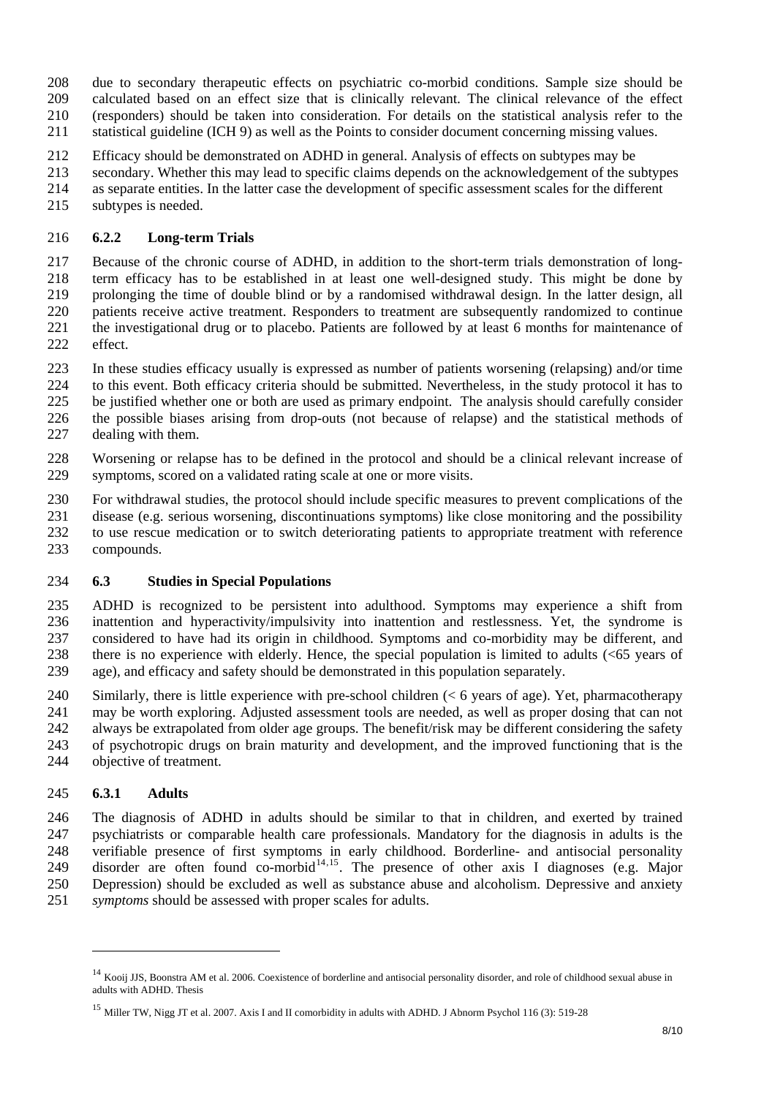<span id="page-7-0"></span>due to secondary therapeutic effects on psychiatric co-morbid conditions. Sample size should be 208

calculated based on an effect size that is clinically relevant. The clinical relevance of the effect 209

(responders) should be taken into consideration. For details on the statistical analysis refer to the 210

statistical guideline (ICH 9) as well as the Points to consider document concerning missing values. 211

212 Efficacy should be demonstrated on ADHD in general. Analysis of effects on subtypes may be

- 213 secondary. Whether this may lead to specific claims depends on the acknowledgement of the subtypes
- 214 as separate entities. In the latter case the development of specific assessment scales for the different
- 215 subtypes is needed.

### 216 **6.2.2 Long-term Trials**

217 218 219 220 221 222 Because of the chronic course of ADHD, in addition to the short-term trials demonstration of longterm efficacy has to be established in at least one well-designed study. This might be done by prolonging the time of double blind or by a randomised withdrawal design. In the latter design, all patients receive active treatment. Responders to treatment are subsequently randomized to continue the investigational drug or to placebo. Patients are followed by at least 6 months for maintenance of effect.

- 223 In these studies efficacy usually is expressed as number of patients worsening (relapsing) and/or time
- 224 to this event. Both efficacy criteria should be submitted. Nevertheless, in the study protocol it has to
- 225 be justified whether one or both are used as primary endpoint. The analysis should carefully consider the possible biases arising from drop-outs (not because of relapse) and the statistical methods of
- 226 227 dealing with them.
- 228 229 Worsening or relapse has to be defined in the protocol and should be a clinical relevant increase of symptoms, scored on a validated rating scale at one or more visits.
- 230 For withdrawal studies, the protocol should include specific measures to prevent complications of the
- 231 disease (e.g. serious worsening, discontinuations symptoms) like close monitoring and the possibility
- 232 to use rescue medication or to switch deteriorating patients to appropriate treatment with reference
- 233 compounds.

### 234 **6.3 Studies in Special Populations**

235 236 237 238 239 ADHD is recognized to be persistent into adulthood. Symptoms may experience a shift from inattention and hyperactivity/impulsivity into inattention and restlessness. Yet, the syndrome is considered to have had its origin in childhood. Symptoms and co-morbidity may be different, and there is no experience with elderly. Hence, the special population is limited to adults (<65 years of age), and efficacy and safety should be demonstrated in this population separately.

240 241 242 243 244 Similarly, there is little experience with pre-school children (< 6 years of age). Yet, pharmacotherapy may be worth exploring. Adjusted assessment tools are needed, as well as proper dosing that can not always be extrapolated from older age groups. The benefit/risk may be different considering the safety of psychotropic drugs on brain maturity and development, and the improved functioning that is the objective of treatment.

### 245 **6.3.1 Adults**

l

246 247 248 249 250 251 symptoms should be assessed with proper scales for adults. The diagnosis of ADHD in adults should be similar to that in children, and exerted by trained psychiatrists or comparable health care professionals. Mandatory for the diagnosis in adults is the verifiable presence of first symptoms in early childhood. Borderline- and antisocial personality disorder are often found co-morbid $14,15$  $14,15$  $14,15$ . The presence of other axis I diagnoses (e.g. Major Depression) should be excluded as well as substance abuse and alcoholism. Depressive and anxiety

<span id="page-7-1"></span><sup>&</sup>lt;sup>14</sup> Kooij JJS, Boonstra AM et al. 2006. Coexistence of borderline and antisocial personality disorder, and role of childhood sexual abuse in adults with ADHD. Thesis

<span id="page-7-2"></span><sup>&</sup>lt;sup>15</sup> Miller TW, Nigg JT et al. 2007. Axis I and II comorbidity in adults with ADHD. J Abnorm Psychol 116 (3): 519-28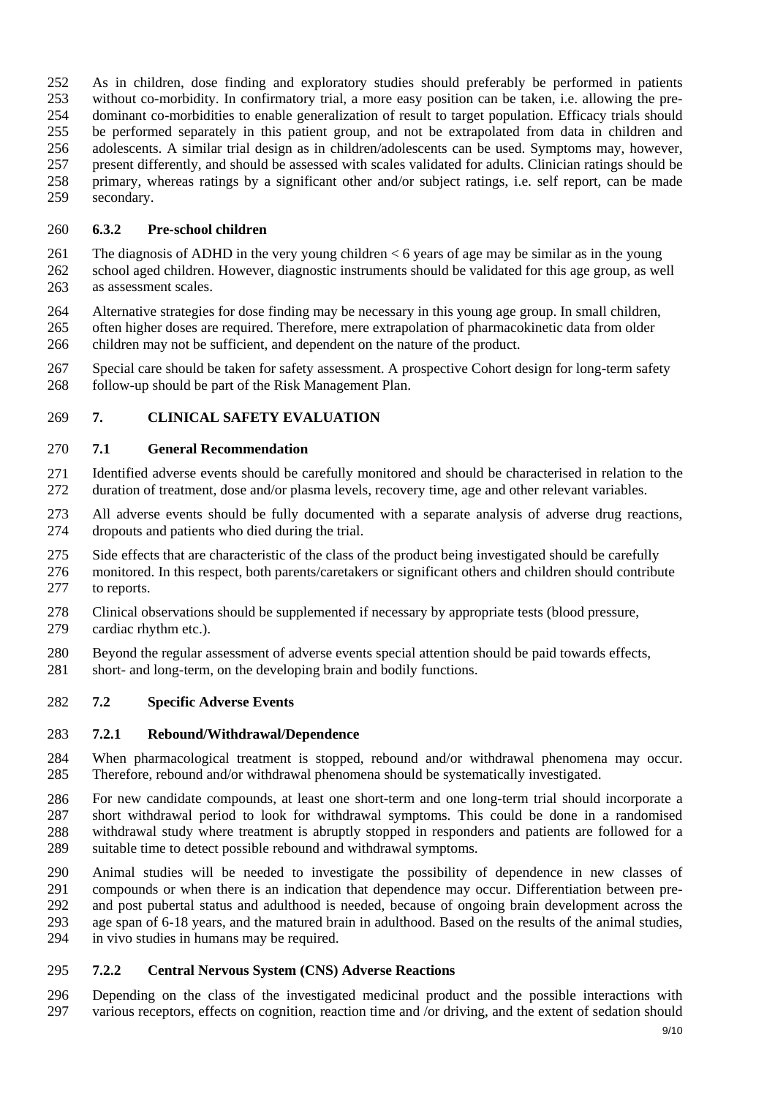<span id="page-8-0"></span>252 253 254 255 256 257 258 259 As in children, dose finding and exploratory studies should preferably be performed in patients without co-morbidity. In confirmatory trial, a more easy position can be taken, i.e. allowing the predominant co-morbidities to enable generalization of result to target population. Efficacy trials should be performed separately in this patient group, and not be extrapolated from data in children and adolescents. A similar trial design as in children/adolescents can be used. Symptoms may, however, present differently, and should be assessed with scales validated for adults. Clinician ratings should be primary, whereas ratings by a significant other and/or subject ratings, i.e. self report, can be made secondary.

# 260 **6.3.2 Pre-school children**

261 262 263 The diagnosis of ADHD in the very young children  $< 6$  years of age may be similar as in the young school aged children. However, diagnostic instruments should be validated for this age group, as well as assessment scales.

264 265 266 Alternative strategies for dose finding may be necessary in this young age group. In small children, often higher doses are required. Therefore, mere extrapolation of pharmacokinetic data from older children may not be sufficient, and dependent on the nature of the product.

267 268 Special care should be taken for safety assessment. A prospective Cohort design for long-term safety follow-up should be part of the Risk Management Plan.

# 269 **7. CLINICAL SAFETY EVALUATION**

# 270 **7.1 General Recommendation**

- 271 272 Identified adverse events should be carefully monitored and should be characterised in relation to the duration of treatment, dose and/or plasma levels, recovery time, age and other relevant variables.
- 273 274 All adverse events should be fully documented with a separate analysis of adverse drug reactions, dropouts and patients who died during the trial.
- 275 Side effects that are characteristic of the class of the product being investigated should be carefully
- 276 277 monitored. In this respect, both parents/caretakers or significant others and children should contribute to reports.
- 278 Clinical observations should be supplemented if necessary by appropriate tests (blood pressure,
- 279 cardiac rhythm etc.).
- 280 Beyond the regular assessment of adverse events special attention should be paid towards effects,
- 281 short- and long-term, on the developing brain and bodily functions.

### 282 **7.2 Specific Adverse Events**

### 283 **7.2.1 Rebound/Withdrawal/Dependence**

- 284 285 When pharmacological treatment is stopped, rebound and/or withdrawal phenomena may occur. Therefore, rebound and/or withdrawal phenomena should be systematically investigated.
- 286 287 288 289 For new candidate compounds, at least one short-term and one long-term trial should incorporate a short withdrawal period to look for withdrawal symptoms. This could be done in a randomised withdrawal study where treatment is abruptly stopped in responders and patients are followed for a suitable time to detect possible rebound and withdrawal symptoms.
- 290 291 292 293 294 Animal studies will be needed to investigate the possibility of dependence in new classes of compounds or when there is an indication that dependence may occur. Differentiation between preand post pubertal status and adulthood is needed, because of ongoing brain development across the age span of 6-18 years, and the matured brain in adulthood. Based on the results of the animal studies, in vivo studies in humans may be required.

### 295 **7.2.2 Central Nervous System (CNS) Adverse Reactions**

296 297 Depending on the class of the investigated medicinal product and the possible interactions with various receptors, effects on cognition, reaction time and /or driving, and the extent of sedation should